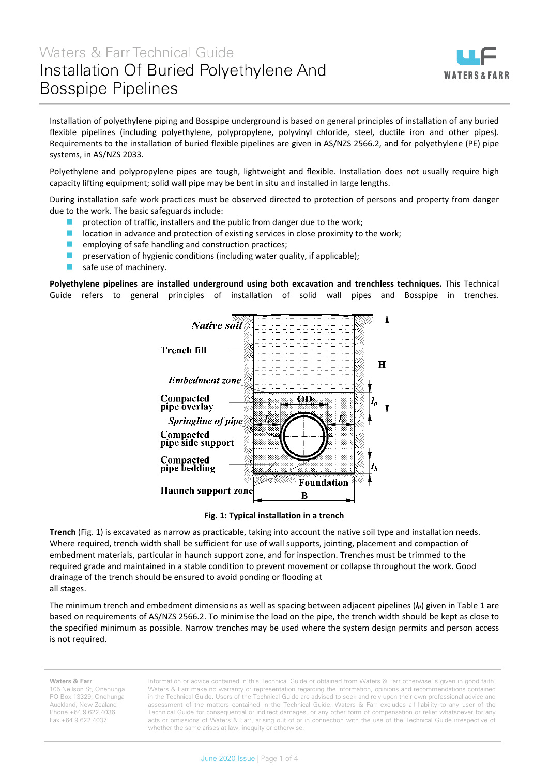## Waters & Farr Technical Guide Installation Of Buried Polyethylene And **Bosspipe Pipelines**

j



Installation of polyethylene piping and Bosspipe underground is based on general principles of installation of any buried flexible pipelines (including polyethylene, polypropylene, polyvinyl chloride, steel, ductile iron and other pipes). Requirements to the installation of buried flexible pipelines are given in AS/NZS 2566.2, and for polyethylene (PE) pipe systems, in AS/NZS 2033.

Polyethylene and polypropylene pipes are tough, lightweight and flexible. Installation does not usually require high capacity lifting equipment; solid wall pipe may be bent in situ and installed in large lengths.

During installation safe work practices must be observed directed to protection of persons and property from danger due to the work. The basic safeguards include:

- protection of traffic, installers and the public from danger due to the work;
- $\blacksquare$  location in advance and protection of existing services in close proximity to the work;
- **E** employing of safe handling and construction practices;
- preservation of hygienic conditions (including water quality, if applicable);
- safe use of machinery.

**Polyethylene pipelines are installed underground using both excavation and trenchless techniques.** This Technical Guide refers to general principles of installation of solid wall pipes and Bosspipe in trenches.



**Fig. 1: Typical installation in a trench**

**Trench** (Fig. 1) is excavated as narrow as practicable, taking into account the native soil type and installation needs. Where required, trench width shall be sufficient for use of wall supports, jointing, placement and compaction of embedment materials, particular in haunch support zone, and for inspection. Trenches must be trimmed to the required grade and maintained in a stable condition to prevent movement or collapse throughout the work. Good drainage of the trench should be ensured to avoid ponding or flooding at all stages.

The minimum trench and embedment dimensions as well as spacing between adjacent pipelines (*lp*) given in Table 1 are based on requirements of AS/NZS 2566.2. To minimise the load on the pipe, the trench width should be kept as close to the specified minimum as possible. Narrow trenches may be used where the system design permits and person access is not required.

**Waters & Farr**

105 Neilson St, Onehunga PO Box 13329, Onehunga Auckland, New Zealand Phone +64 9 622 4036 Fax +64 9 622 4037

Information or advice contained in this Technical Guide or obtained from Waters & Farr otherwise is given in good faith. Waters & Farr make no warranty or representation regarding the information, opinions and recommendations contained in the Technical Guide. Users of the Technical Guide are advised to seek and rely upon their own professional advice and assessment of the matters contained in the Technical Guide. Waters & Farr excludes all liability to any user of the Technical Guide for consequential or indirect damages, or any other form of compensation or relief whatsoever for any acts or omissions of Waters & Farr, arising out of or in connection with the use of the Technical Guide irrespective of whether the same arises at law, inequity or otherwise.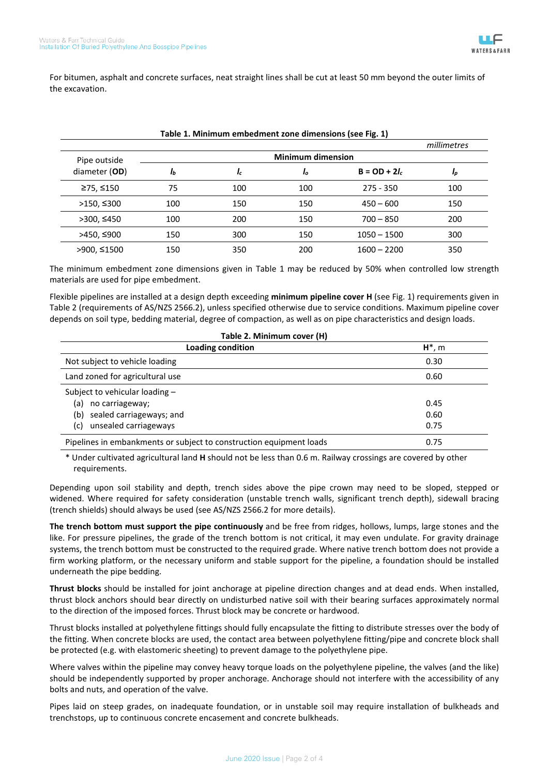For bitumen, asphalt and concrete surfaces, neat straight lines shall be cut at least 50 mm beyond the outer limits of the excavation.

|               |                          |     |     |                 | millimetres |
|---------------|--------------------------|-----|-----|-----------------|-------------|
| Pipe outside  | <b>Minimum dimension</b> |     |     |                 |             |
| diameter (OD) | Ib                       | Ic  | Ιo  | $B = OD + 2l_c$ | Ip          |
| ≥75, ≤150     | 75                       | 100 | 100 | $275 - 350$     | 100         |
| >150, ≤300    | 100                      | 150 | 150 | $450 - 600$     | 150         |
| >300, 450     | 100                      | 200 | 150 | $700 - 850$     | 200         |
| >450, ≤900    | 150                      | 300 | 150 | $1050 - 1500$   | 300         |
| >900, ≤1500   | 150                      | 350 | 200 | $1600 - 2200$   | 350         |

## **Table 1. Minimum embedment zone dimensions (see Fig. 1)**

The minimum embedment zone dimensions given in Table 1 may be reduced by 50% when controlled low strength materials are used for pipe embedment.

Flexible pipelines are installed at a design depth exceeding **minimum pipeline cover H** (see Fig. 1) requirements given in Table 2 (requirements of AS/NZS 2566.2), unless specified otherwise due to service conditions. Maximum pipeline cover depends on soil type, bedding material, degree of compaction, as well as on pipe characteristics and design loads.

| Table 2. Minimum cover (H)                                          |           |  |  |  |
|---------------------------------------------------------------------|-----------|--|--|--|
| Loading condition                                                   | $H^*$ , m |  |  |  |
| Not subject to vehicle loading                                      | 0.30      |  |  |  |
| Land zoned for agricultural use                                     | 0.60      |  |  |  |
| Subject to vehicular loading -                                      |           |  |  |  |
| no carriageway;<br>(a)                                              | 0.45      |  |  |  |
| sealed carriageways; and<br>(b)                                     | 0.60      |  |  |  |
| unsealed carriageways<br>(c)                                        | 0.75      |  |  |  |
| Pipelines in embankments or subject to construction equipment loads | 0.75      |  |  |  |

\* Under cultivated agricultural land **H** should not be less than 0.6 m. Railway crossings are covered by other requirements.

Depending upon soil stability and depth, trench sides above the pipe crown may need to be sloped, stepped or widened. Where required for safety consideration (unstable trench walls, significant trench depth), sidewall bracing (trench shields) should always be used (see AS/NZS 2566.2 for more details).

**The trench bottom must support the pipe continuously** and be free from ridges, hollows, lumps, large stones and the like. For pressure pipelines, the grade of the trench bottom is not critical, it may even undulate. For gravity drainage systems, the trench bottom must be constructed to the required grade. Where native trench bottom does not provide a firm working platform, or the necessary uniform and stable support for the pipeline, a foundation should be installed underneath the pipe bedding.

**Thrust blocks** should be installed for joint anchorage at pipeline direction changes and at dead ends. When installed, thrust block anchors should bear directly on undisturbed native soil with their bearing surfaces approximately normal to the direction of the imposed forces. Thrust block may be concrete or hardwood.

Thrust blocks installed at polyethylene fittings should fully encapsulate the fitting to distribute stresses over the body of the fitting. When concrete blocks are used, the contact area between polyethylene fitting/pipe and concrete block shall be protected (e.g. with elastomeric sheeting) to prevent damage to the polyethylene pipe.

Where valves within the pipeline may convey heavy torque loads on the polyethylene pipeline, the valves (and the like) should be independently supported by proper anchorage. Anchorage should not interfere with the accessibility of any bolts and nuts, and operation of the valve.

Pipes laid on steep grades, on inadequate foundation, or in unstable soil may require installation of bulkheads and trenchstops, up to continuous concrete encasement and concrete bulkheads.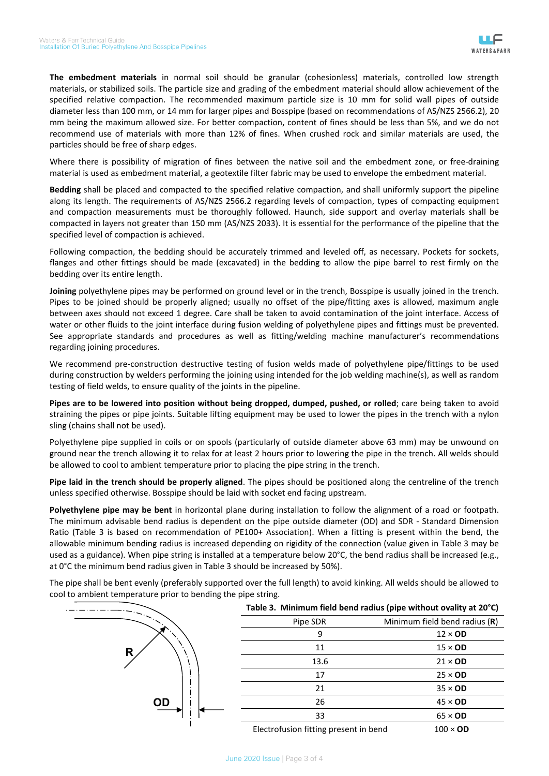**The embedment materials** in normal soil should be granular (cohesionless) materials, controlled low strength materials, or stabilized soils. The particle size and grading of the embedment material should allow achievement of the specified relative compaction. The recommended maximum particle size is 10 mm for solid wall pipes of outside diameter less than 100 mm, or 14 mm for larger pipes and Bosspipe (based on recommendations of AS/NZS 2566.2), 20 mm being the maximum allowed size. For better compaction, content of fines should be less than 5%, and we do not recommend use of materials with more than 12% of fines. When crushed rock and similar materials are used, the particles should be free of sharp edges.

Where there is possibility of migration of fines between the native soil and the embedment zone, or free-draining material is used as embedment material, a geotextile filter fabric may be used to envelope the embedment material.

**Bedding** shall be placed and compacted to the specified relative compaction, and shall uniformly support the pipeline along its length. The requirements of AS/NZS 2566.2 regarding levels of compaction, types of compacting equipment and compaction measurements must be thoroughly followed. Haunch, side support and overlay materials shall be compacted in layers not greater than 150 mm (AS/NZS 2033). It is essential for the performance of the pipeline that the specified level of compaction is achieved.

Following compaction, the bedding should be accurately trimmed and leveled off, as necessary. Pockets for sockets, flanges and other fittings should be made (excavated) in the bedding to allow the pipe barrel to rest firmly on the bedding over its entire length.

**Joining** polyethylene pipes may be performed on ground level or in the trench, Bosspipe is usually joined in the trench. Pipes to be joined should be properly aligned; usually no offset of the pipe/fitting axes is allowed, maximum angle between axes should not exceed 1 degree. Care shall be taken to avoid contamination of the joint interface. Access of water or other fluids to the joint interface during fusion welding of polyethylene pipes and fittings must be prevented. See appropriate standards and procedures as well as fitting/welding machine manufacturer's recommendations regarding joining procedures.

We recommend pre-construction destructive testing of fusion welds made of polyethylene pipe/fittings to be used during construction by welders performing the joining using intended for the job welding machine(s), as well as random testing of field welds, to ensure quality of the joints in the pipeline.

**Pipes are to be lowered into position without being dropped, dumped, pushed, or rolled**; care being taken to avoid straining the pipes or pipe joints. Suitable lifting equipment may be used to lower the pipes in the trench with a nylon sling (chains shall not be used).

Polyethylene pipe supplied in coils or on spools (particularly of outside diameter above 63 mm) may be unwound on ground near the trench allowing it to relax for at least 2 hours prior to lowering the pipe in the trench. All welds should be allowed to cool to ambient temperature prior to placing the pipe string in the trench.

**Pipe laid in the trench should be properly aligned**. The pipes should be positioned along the centreline of the trench unless specified otherwise. Bosspipe should be laid with socket end facing upstream.

**Polyethylene pipe may be bent** in horizontal plane during installation to follow the alignment of a road or footpath. The minimum advisable bend radius is dependent on the pipe outside diameter (OD) and SDR - Standard Dimension Ratio (Table 3 is based on recommendation of PE100+ Association). When a fitting is present within the bend, the allowable minimum bending radius is increased depending on rigidity of the connection (value given in Table 3 may be used as a guidance). When pipe string is installed at a temperature below 20°C, the bend radius shall be increased (e.g., at 0°C the minimum bend radius given in Table 3 should be increased by 50%).

The pipe shall be bent evenly (preferably supported over the full length) to avoid kinking. All welds should be allowed to cool to ambient temperature prior to bending the pipe string.

|           | Table 3. Minimum field bend radius (pipe without ovality at 20°C) |                               |  |
|-----------|-------------------------------------------------------------------|-------------------------------|--|
|           | Pipe SDR                                                          | Minimum field bend radius (R) |  |
|           | 9                                                                 | $12 \times OD$                |  |
| R         | 11                                                                | $15 \times OD$                |  |
|           | 13.6                                                              | $21 \times OD$                |  |
|           | 17                                                                | $25 \times OD$                |  |
|           | 21                                                                | $35 \times OD$                |  |
| <b>OD</b> | 26                                                                | $45 \times$ OD                |  |
|           | 33                                                                | $65 \times OD$                |  |
|           | Electrofusion fitting present in bend                             | $100 \times$ OD               |  |

June 2020 Issue | Page 3 of 4